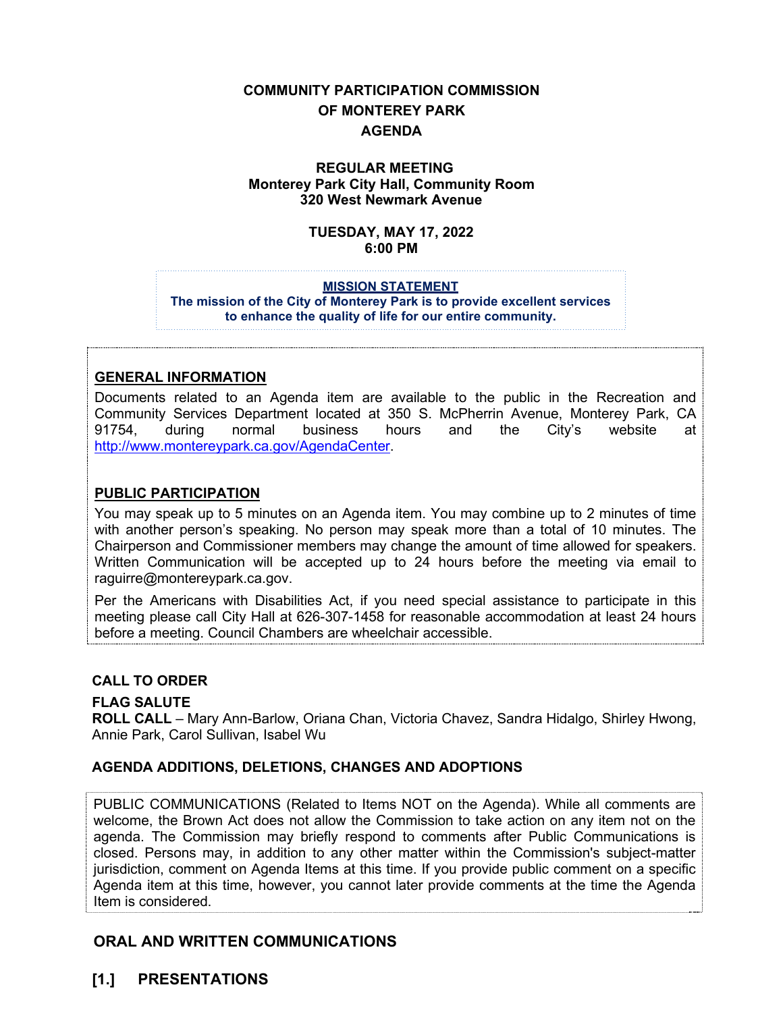# **COMMUNITY PARTICIPATION COMMISSION OF MONTEREY PARK AGENDA**

### **REGULAR MEETING Monterey Park City Hall, Community Room 320 West Newmark Avenue**

#### **TUESDAY, MAY 17, 2022 6:00 PM**

#### **MISSION STATEMENT**

**The mission of the City of Monterey Park is to provide excellent services to enhance the quality of life for our entire community.**

### **GENERAL INFORMATION**

Documents related to an Agenda item are available to the public in the Recreation and Community Services Department located at 350 S. McPherrin Avenue, Monterey Park, CA 91754, during normal business hours and the City's website at [http://www.montereypark.ca.gov/AgendaCenter.](http://www.montereypark.ca.gov/AgendaCenter)

### **PUBLIC PARTICIPATION**

You may speak up to 5 minutes on an Agenda item. You may combine up to 2 minutes of time with another person's speaking. No person may speak more than a total of 10 minutes. The Chairperson and Commissioner members may change the amount of time allowed for speakers. Written Communication will be accepted up to 24 hours before the meeting via email to raguirre@montereypark.ca.gov.

Per the Americans with Disabilities Act, if you need special assistance to participate in this meeting please call City Hall at 626-307-1458 for reasonable accommodation at least 24 hours before a meeting. Council Chambers are wheelchair accessible.

### **CALL TO ORDER**

### **FLAG SALUTE**

**ROLL CALL** – Mary Ann-Barlow, Oriana Chan, Victoria Chavez, Sandra Hidalgo, Shirley Hwong, Annie Park, Carol Sullivan, Isabel Wu

### **AGENDA ADDITIONS, DELETIONS, CHANGES AND ADOPTIONS**

PUBLIC COMMUNICATIONS (Related to Items NOT on the Agenda). While all comments are welcome, the Brown Act does not allow the Commission to take action on any item not on the agenda. The Commission may briefly respond to comments after Public Communications is closed. Persons may, in addition to any other matter within the Commission's subject-matter jurisdiction, comment on Agenda Items at this time. If you provide public comment on a specific Agenda item at this time, however, you cannot later provide comments at the time the Agenda Item is considered.

## **ORAL AND WRITTEN COMMUNICATIONS**

## **[1.] PRESENTATIONS**